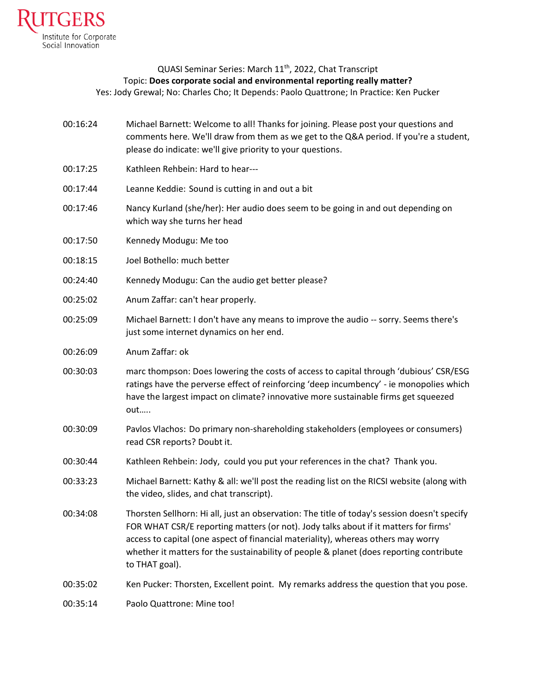

## QUASI Seminar Series: March 11<sup>th</sup>, 2022, Chat Transcript Topic: **Does corporate social and environmental reporting really matter?** Yes: Jody Grewal; No: Charles Cho; It Depends: Paolo Quattrone; In Practice: Ken Pucker

- 00:16:24 Michael Barnett: Welcome to all! Thanks for joining. Please post your questions and comments here. We'll draw from them as we get to the Q&A period. If you're a student, please do indicate: we'll give priority to your questions.
- 00:17:25 Kathleen Rehbein: Hard to hear---
- 00:17:44 Leanne Keddie: Sound is cutting in and out a bit
- 00:17:46 Nancy Kurland (she/her): Her audio does seem to be going in and out depending on which way she turns her head
- 00:17:50 Kennedy Modugu: Me too
- 00:18:15 Joel Bothello: much better
- 00:24:40 Kennedy Modugu: Can the audio get better please?
- 00:25:02 Anum Zaffar: can't hear properly.
- 00:25:09 Michael Barnett: I don't have any means to improve the audio -- sorry. Seems there's just some internet dynamics on her end.
- 00:26:09 Anum Zaffar: ok
- 00:30:03 marc thompson: Does lowering the costs of access to capital through 'dubious' CSR/ESG ratings have the perverse effect of reinforcing 'deep incumbency' - ie monopolies which have the largest impact on climate? innovative more sustainable firms get squeezed out…..
- 00:30:09 Pavlos Vlachos: Do primary non-shareholding stakeholders (employees or consumers) read CSR reports? Doubt it.
- 00:30:44 Kathleen Rehbein: Jody, could you put your references in the chat? Thank you.
- 00:33:23 Michael Barnett: Kathy & all: we'll post the reading list on the RICSI website (along with the video, slides, and chat transcript).
- 00:34:08 Thorsten Sellhorn: Hi all, just an observation: The title of today's session doesn't specify FOR WHAT CSR/E reporting matters (or not). Jody talks about if it matters for firms' access to capital (one aspect of financial materiality), whereas others may worry whether it matters for the sustainability of people & planet (does reporting contribute to THAT goal).
- 00:35:02 Ken Pucker: Thorsten, Excellent point. My remarks address the question that you pose.

00:35:14 Paolo Quattrone: Mine too!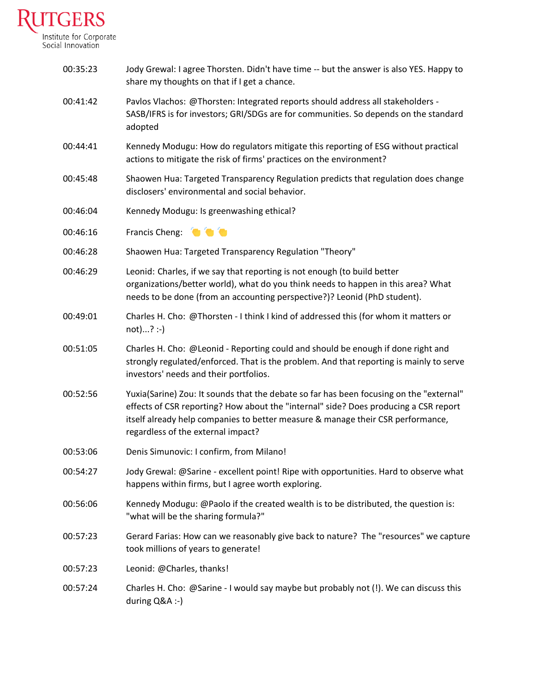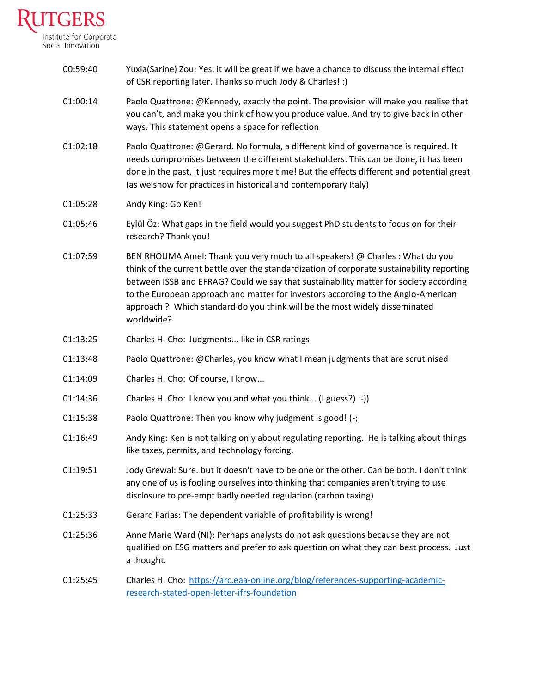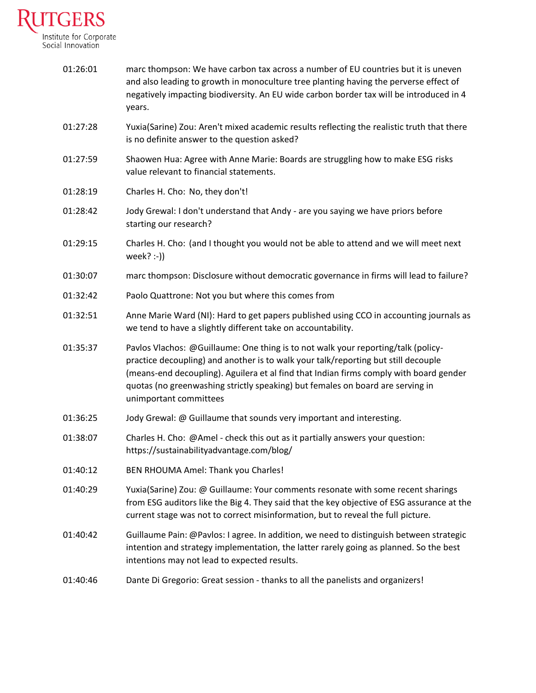

| 01:26:01 | marc thompson: We have carbon tax across a number of EU countries but it is uneven<br>and also leading to growth in monoculture tree planting having the perverse effect of<br>negatively impacting biodiversity. An EU wide carbon border tax will be introduced in 4<br>years.                                                                                              |
|----------|-------------------------------------------------------------------------------------------------------------------------------------------------------------------------------------------------------------------------------------------------------------------------------------------------------------------------------------------------------------------------------|
| 01:27:28 | Yuxia(Sarine) Zou: Aren't mixed academic results reflecting the realistic truth that there<br>is no definite answer to the question asked?                                                                                                                                                                                                                                    |
| 01:27:59 | Shaowen Hua: Agree with Anne Marie: Boards are struggling how to make ESG risks<br>value relevant to financial statements.                                                                                                                                                                                                                                                    |
| 01:28:19 | Charles H. Cho: No, they don't!                                                                                                                                                                                                                                                                                                                                               |
| 01:28:42 | Jody Grewal: I don't understand that Andy - are you saying we have priors before<br>starting our research?                                                                                                                                                                                                                                                                    |
| 01:29:15 | Charles H. Cho: (and I thought you would not be able to attend and we will meet next<br>week? $:$ -))                                                                                                                                                                                                                                                                         |
| 01:30:07 | marc thompson: Disclosure without democratic governance in firms will lead to failure?                                                                                                                                                                                                                                                                                        |
| 01:32:42 | Paolo Quattrone: Not you but where this comes from                                                                                                                                                                                                                                                                                                                            |
| 01:32:51 | Anne Marie Ward (NI): Hard to get papers published using CCO in accounting journals as<br>we tend to have a slightly different take on accountability.                                                                                                                                                                                                                        |
| 01:35:37 | Pavlos Vlachos: @Guillaume: One thing is to not walk your reporting/talk (policy-<br>practice decoupling) and another is to walk your talk/reporting but still decouple<br>(means-end decoupling). Aguilera et al find that Indian firms comply with board gender<br>quotas (no greenwashing strictly speaking) but females on board are serving in<br>unimportant committees |
| 01:36:25 | Jody Grewal: @ Guillaume that sounds very important and interesting.                                                                                                                                                                                                                                                                                                          |
| 01:38:07 | Charles H. Cho: @Amel - check this out as it partially answers your question:<br>https://sustainabilityadvantage.com/blog/                                                                                                                                                                                                                                                    |
| 01:40:12 | BEN RHOUMA Amel: Thank you Charles!                                                                                                                                                                                                                                                                                                                                           |
| 01:40:29 | Yuxia(Sarine) Zou: @ Guillaume: Your comments resonate with some recent sharings<br>from ESG auditors like the Big 4. They said that the key objective of ESG assurance at the<br>current stage was not to correct misinformation, but to reveal the full picture.                                                                                                            |
| 01:40:42 | Guillaume Pain: @Pavlos: I agree. In addition, we need to distinguish between strategic<br>intention and strategy implementation, the latter rarely going as planned. So the best<br>intentions may not lead to expected results.                                                                                                                                             |
| 01:40:46 | Dante Di Gregorio: Great session - thanks to all the panelists and organizers!                                                                                                                                                                                                                                                                                                |